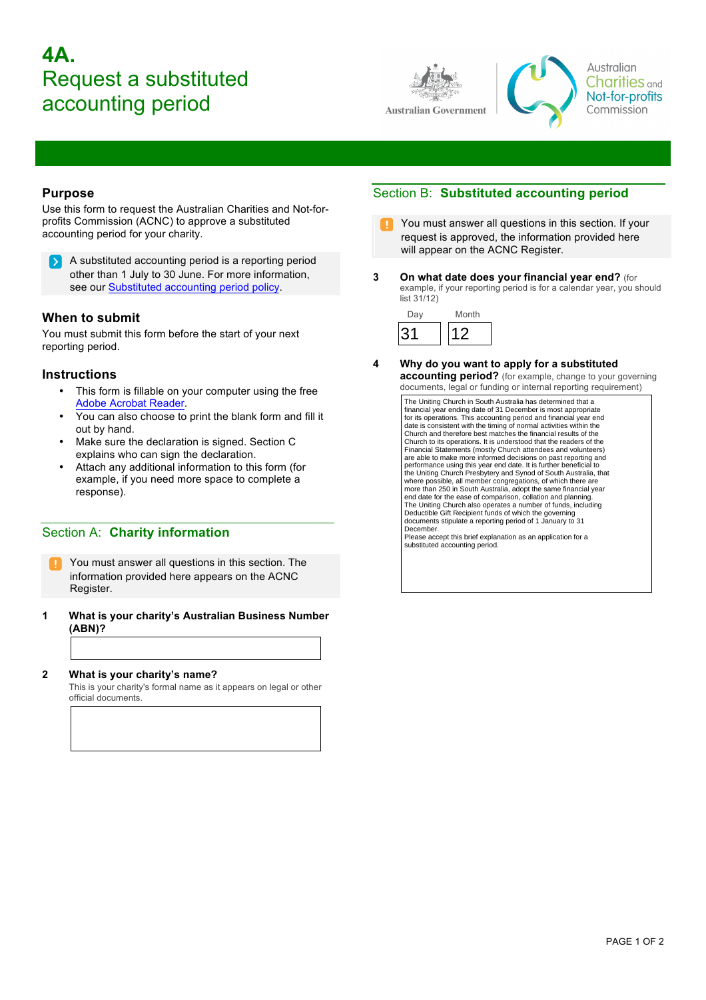# **4A.** Request a substituted accounting period





Australian **Charities** and Not-for-profits Commission

### **Purpose**

Use this form to request the Australian Charities and Not-forprofits Commission (ACNC) to approve a substituted accounting period for your charity.

A substituted accounting period is a reporting period **ID** > I other than 1 July to 30 June. For more information, see our [Substituted accounting period policy.](http://acnc.gov.au/ACNC/Pblctns/AF/ACNC/Publications/AF_Forms.aspx?hkey=8f6de297-de3a-49d5-b9e8-8b37fd071488)

### **When to submit**

You must submit this form before the start of your next reporting period.

### **Instructions**

- This form is fillable on your computer using the free [Adobe Acrobat Reader](get.adobe.com/reader).
- You can also choose to print the blank form and fill it out by hand.
- Make sure the declaration is signed. Section C explains who can sign the declaration.
- Attach any additional information to this form (for example, if you need more space to complete a response).

### Section A: **Charity information**

You must answer all questions in this section. The information provided here appears on the ACNC Register.

**1 What is your charity's Australian Business Number (ABN)?**

### **2 What is your charity's name?**

This is your charity's formal name as it appears on legal or other official documents.

### Section B: **Substituted accounting period**

- You must answer all questions in this section. If your request is approved, the information provided here will appear on the ACNC Register.
- **3 On what date does your financial year end?** (for example, if your reporting period is for a calendar year, you should list 31/12)



**4 Why do you want to apply for a substituted accounting period?** (for example, change to your governing documents, legal or funding or internal reporting requirement)

> The Uniting Church in South Australia has determined that a financial year ending date of 31 December is most appropriate for its operations. This accounting period and financial year end date is consistent with the timing of normal activities within the Church and therefore best matches the financial results of the Church to its operations. It is understood that the readers of the Financial Statements (mostly Church attendees and volunteers) are able to make more informed decisions on past reporting and performance using this year end date. It is further beneficial to the Uniting Church Presbytery and Synod of South Australia, that where possible, all member congregations, of which there are more than 250 in South Australia, adopt the same financial year end date for the ease of comparison, collation and planning. The Uniting Church also operates a number of funds, including Deductible Gift Recipient funds of which the governing documents stipulate a reporting period of 1 January to 31 December. Please accept this brief explanation as an application for a substituted accounting period.